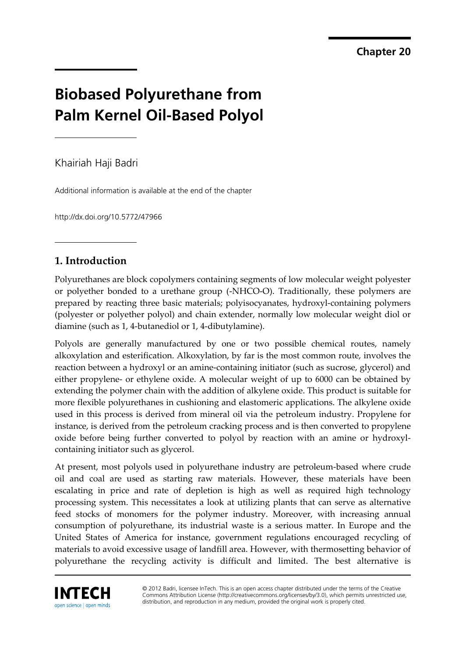**Chapter 20** 

# **Biobased Polyurethane from Palm Kernel Oil-Based Polyol**

Khairiah Haji Badri

Additional information is available at the end of the chapter

http://dx.doi.org/10.5772/47966

# **1. Introduction**

Polyurethanes are block copolymers containing segments of low molecular weight polyester or polyether bonded to a urethane group (-NHCO-O). Traditionally, these polymers are prepared by reacting three basic materials; polyisocyanates, hydroxyl-containing polymers (polyester or polyether polyol) and chain extender, normally low molecular weight diol or diamine (such as 1, 4-butanediol or 1, 4-dibutylamine).

Polyols are generally manufactured by one or two possible chemical routes, namely alkoxylation and esterification. Alkoxylation, by far is the most common route, involves the reaction between a hydroxyl or an amine-containing initiator (such as sucrose, glycerol) and either propylene- or ethylene oxide. A molecular weight of up to 6000 can be obtained by extending the polymer chain with the addition of alkylene oxide. This product is suitable for more flexible polyurethanes in cushioning and elastomeric applications. The alkylene oxide used in this process is derived from mineral oil via the petroleum industry. Propylene for instance, is derived from the petroleum cracking process and is then converted to propylene oxide before being further converted to polyol by reaction with an amine or hydroxylcontaining initiator such as glycerol.

At present, most polyols used in polyurethane industry are petroleum-based where crude oil and coal are used as starting raw materials. However, these materials have been escalating in price and rate of depletion is high as well as required high technology processing system. This necessitates a look at utilizing plants that can serve as alternative feed stocks of monomers for the polymer industry. Moreover, with increasing annual consumption of polyurethane, its industrial waste is a serious matter. In Europe and the United States of America for instance, government regulations encouraged recycling of materials to avoid excessive usage of landfill area. However, with thermosetting behavior of polyurethane the recycling activity is difficult and limited. The best alternative is



© 2012 Badri, licensee InTech. This is an open access chapter distributed under the terms of the Creative Commons Attribution License (http://creativecommons.org/licenses/by/3.0), which permits unrestricted use, distribution, and reproduction in any medium, provided the original work is properly cited.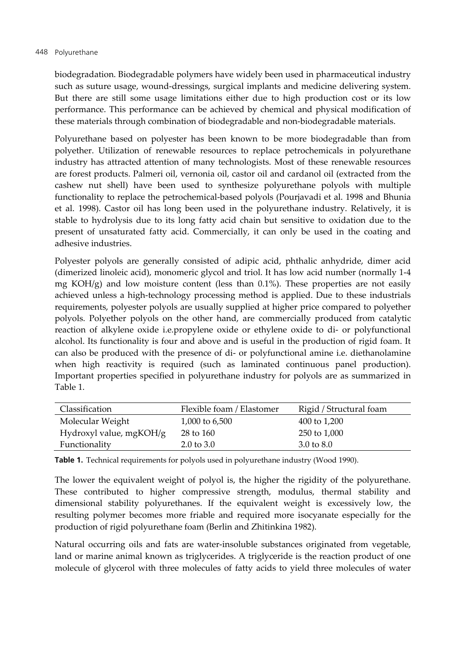biodegradation. Biodegradable polymers have widely been used in pharmaceutical industry such as suture usage, wound-dressings, surgical implants and medicine delivering system. But there are still some usage limitations either due to high production cost or its low performance. This performance can be achieved by chemical and physical modification of these materials through combination of biodegradable and non-biodegradable materials.

Polyurethane based on polyester has been known to be more biodegradable than from polyether. Utilization of renewable resources to replace petrochemicals in polyurethane industry has attracted attention of many technologists. Most of these renewable resources are forest products. Palmeri oil, vernonia oil, castor oil and cardanol oil (extracted from the cashew nut shell) have been used to synthesize polyurethane polyols with multiple functionality to replace the petrochemical-based polyols (Pourjavadi et al. 1998 and Bhunia et al. 1998). Castor oil has long been used in the polyurethane industry. Relatively, it is stable to hydrolysis due to its long fatty acid chain but sensitive to oxidation due to the present of unsaturated fatty acid. Commercially, it can only be used in the coating and adhesive industries.

Polyester polyols are generally consisted of adipic acid, phthalic anhydride, dimer acid (dimerized linoleic acid), monomeric glycol and triol. It has low acid number (normally 1-4 mg  $KOH/g$ ) and low moisture content (less than 0.1%). These properties are not easily achieved unless a high-technology processing method is applied. Due to these industrials requirements, polyester polyols are usually supplied at higher price compared to polyether polyols. Polyether polyols on the other hand, are commercially produced from catalytic reaction of alkylene oxide i.e.propylene oxide or ethylene oxide to di- or polyfunctional alcohol. Its functionality is four and above and is useful in the production of rigid foam. It can also be produced with the presence of di- or polyfunctional amine i.e. diethanolamine when high reactivity is required (such as laminated continuous panel production). Important properties specified in polyurethane industry for polyols are as summarized in Table 1.

| Classification          | Flexible foam / Elastomer | Rigid / Structural foam |
|-------------------------|---------------------------|-------------------------|
| Molecular Weight        | 1,000 to 6,500            | 400 to 1,200            |
| Hydroxyl value, mgKOH/g | 28 to 160                 | 250 to 1,000            |
| Functionality           | $2.0 \text{ to } 3.0$     | 3.0 to 8.0              |

**Table 1.** Technical requirements for polyols used in polyurethane industry (Wood 1990).

The lower the equivalent weight of polyol is, the higher the rigidity of the polyurethane. These contributed to higher compressive strength, modulus, thermal stability and dimensional stability polyurethanes. If the equivalent weight is excessively low, the resulting polymer becomes more friable and required more isocyanate especially for the production of rigid polyurethane foam (Berlin and Zhitinkina 1982).

Natural occurring oils and fats are water-insoluble substances originated from vegetable, land or marine animal known as triglycerides. A triglyceride is the reaction product of one molecule of glycerol with three molecules of fatty acids to yield three molecules of water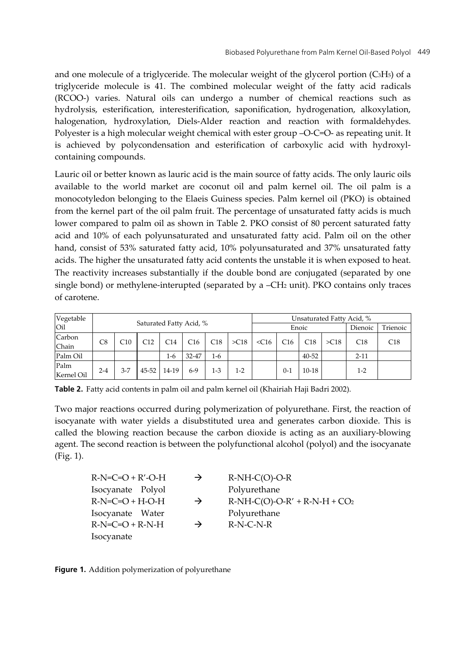and one molecule of a triglyceride. The molecular weight of the glycerol portion (C3H5) of a triglyceride molecule is 41. The combined molecular weight of the fatty acid radicals (RCOO-) varies. Natural oils can undergo a number of chemical reactions such as hydrolysis, esterification, interesterification, saponification, hydrogenation, alkoxylation, halogenation, hydroxylation, Diels-Alder reaction and reaction with formaldehydes. Polyester is a high molecular weight chemical with ester group –O-C=O- as repeating unit. It is achieved by polycondensation and esterification of carboxylic acid with hydroxylcontaining compounds.

Lauric oil or better known as lauric acid is the main source of fatty acids. The only lauric oils available to the world market are coconut oil and palm kernel oil. The oil palm is a monocotyledon belonging to the Elaeis Guiness species. Palm kernel oil (PKO) is obtained from the kernel part of the oil palm fruit. The percentage of unsaturated fatty acids is much lower compared to palm oil as shown in Table 2. PKO consist of 80 percent saturated fatty acid and 10% of each polyunsaturated and unsaturated fatty acid. Palm oil on the other hand, consist of 53% saturated fatty acid, 10% polyunsaturated and 37% unsaturated fatty acids. The higher the unsaturated fatty acid contents the unstable it is when exposed to heat. The reactivity increases substantially if the double bond are conjugated (separated by one single bond) or methylene-interupted (separated by a –CH2 unit). PKO contains only traces of carotene.

| Vegetable          | Saturated Fatty Acid, % |         |           |       |       | Unsaturated Fatty Acid, % |       |         |         |           |            |          |     |
|--------------------|-------------------------|---------|-----------|-------|-------|---------------------------|-------|---------|---------|-----------|------------|----------|-----|
| Oil                |                         |         |           |       |       | Enoic                     |       |         | Dienoic | Trienoic  |            |          |     |
| Carbon<br>Chain    | C8                      | C10     | C12       | C14   | C16   | C18                       | >C18  | $<$ C16 | C16     | C18       | $>\sim$ 18 | C18      | C18 |
| Palm Oil           |                         |         |           | 1-6   | 32-47 | 1-6                       |       |         |         | $40 - 52$ |            | $2 - 11$ |     |
| Palm<br>Kernel Oil | $2 - 4$                 | $3 - 7$ | $45 - 52$ | 14-19 | 6-9   | $1-3$                     | $1-2$ |         | $0 - 1$ | $10 - 18$ |            | $1 - 2$  |     |

**Table 2.** Fatty acid contents in palm oil and palm kernel oil (Khairiah Haji Badri 2002).

Two major reactions occurred during polymerization of polyurethane. First, the reaction of isocyanate with water yields a disubstituted urea and generates carbon dioxide. This is called the blowing reaction because the carbon dioxide is acting as an auxiliary-blowing agent. The second reaction is between the polyfunctional alcohol (polyol) and the isocyanate (Fig. 1).

| $R-N=C=O+R'-O-H$  | $\rightarrow$ | $R-NH-C(O)-O-R$                |
|-------------------|---------------|--------------------------------|
| Isocyanate Polyol |               | Polyurethane                   |
| $R-N=C=O+H-O-H$   | $\rightarrow$ | $R-NH-C(O)-O-R' + R-N-H + CO2$ |
| Isocyanate Water  |               | Polyurethane                   |
| $R-N=C=O+R-N-H$   | $\rightarrow$ | $R-N-C-N-R$                    |
| Isocyanate        |               |                                |

**Figure 1.** Addition polymerization of polyurethane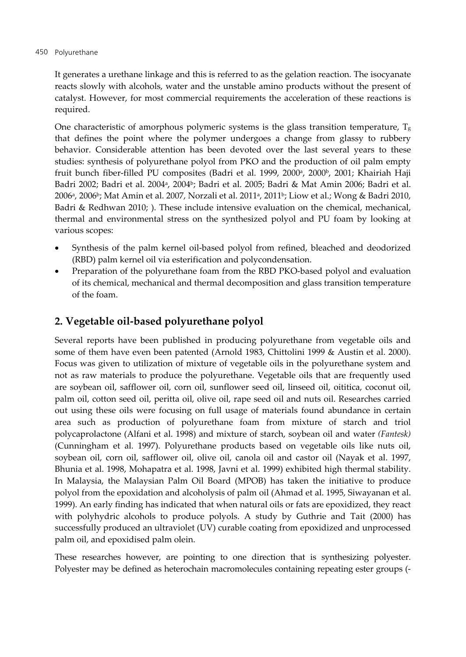#### 450 Polyurethane

It generates a urethane linkage and this is referred to as the gelation reaction. The isocyanate reacts slowly with alcohols, water and the unstable amino products without the present of catalyst. However, for most commercial requirements the acceleration of these reactions is required.

One characteristic of amorphous polymeric systems is the glass transition temperature,  $T_g$ that defines the point where the polymer undergoes a change from glassy to rubbery behavior. Considerable attention has been devoted over the last several years to these studies: synthesis of polyurethane polyol from PKO and the production of oil palm empty fruit bunch fiber-filled PU composites (Badri et al. 1999, 2000<sup>a</sup>, 2000<sup>b</sup>, 2001; Khairiah Haji Badri 2002; Badri et al. 2004<sup>a</sup>, 2004<sup>b</sup>; Badri et al. 2005; Badri & Mat Amin 2006; Badri et al. 2006<sup>a</sup>, 2006<sup>b</sup>; Mat Amin et al. 2007, Norzali et al. 2011<sup>a</sup>, 2011<sup>b</sup>; Liow et al.; Wong & Badri 2010, Badri & Redhwan 2010; ). These include intensive evaluation on the chemical, mechanical, thermal and environmental stress on the synthesized polyol and PU foam by looking at various scopes:

- Synthesis of the palm kernel oil-based polyol from refined, bleached and deodorized (RBD) palm kernel oil via esterification and polycondensation.
- Preparation of the polyurethane foam from the RBD PKO-based polyol and evaluation of its chemical, mechanical and thermal decomposition and glass transition temperature of the foam.

# **2. Vegetable oil-based polyurethane polyol**

Several reports have been published in producing polyurethane from vegetable oils and some of them have even been patented (Arnold 1983, Chittolini 1999 & Austin et al. 2000). Focus was given to utilization of mixture of vegetable oils in the polyurethane system and not as raw materials to produce the polyurethane. Vegetable oils that are frequently used are soybean oil, safflower oil, corn oil, sunflower seed oil, linseed oil, oititica, coconut oil, palm oil, cotton seed oil, peritta oil, olive oil, rape seed oil and nuts oil. Researches carried out using these oils were focusing on full usage of materials found abundance in certain area such as production of polyurethane foam from mixture of starch and triol polycaprolactone (Alfani et al. 1998) and mixture of starch, soybean oil and water *(Fantesk)* (Cunningham et al. 1997). Polyurethane products based on vegetable oils like nuts oil, soybean oil, corn oil, safflower oil, olive oil, canola oil and castor oil (Nayak et al. 1997, Bhunia et al. 1998, Mohapatra et al. 1998, Javni et al. 1999) exhibited high thermal stability. In Malaysia, the Malaysian Palm Oil Board (MPOB) has taken the initiative to produce polyol from the epoxidation and alcoholysis of palm oil (Ahmad et al. 1995, Siwayanan et al. 1999). An early finding has indicated that when natural oils or fats are epoxidized, they react with polyhydric alcohols to produce polyols. A study by Guthrie and Tait (2000) has successfully produced an ultraviolet (UV) curable coating from epoxidized and unprocessed palm oil, and epoxidised palm olein.

These researches however, are pointing to one direction that is synthesizing polyester. Polyester may be defined as heterochain macromolecules containing repeating ester groups (-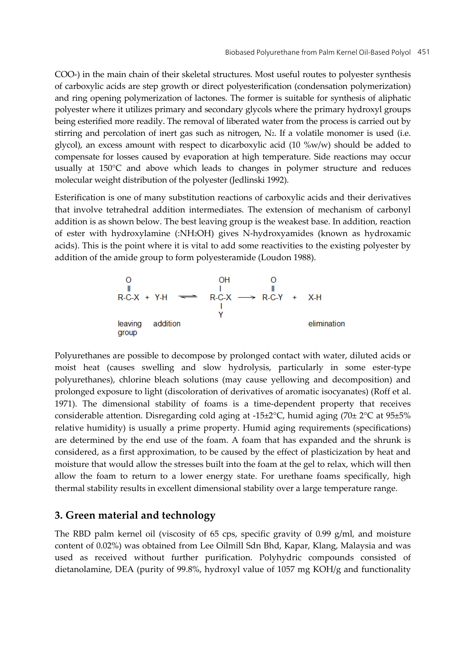COO-) in the main chain of their skeletal structures. Most useful routes to polyester synthesis of carboxylic acids are step growth or direct polyesterification (condensation polymerization) and ring opening polymerization of lactones. The former is suitable for synthesis of aliphatic polyester where it utilizes primary and secondary glycols where the primary hydroxyl groups being esterified more readily. The removal of liberated water from the process is carried out by stirring and percolation of inert gas such as nitrogen, N2. If a volatile monomer is used (i.e. glycol), an excess amount with respect to dicarboxylic acid  $(10 \, %w/w)$  should be added to compensate for losses caused by evaporation at high temperature. Side reactions may occur usually at 150°C and above which leads to changes in polymer structure and reduces molecular weight distribution of the polyester (Jedlinski 1992).

Esterification is one of many substitution reactions of carboxylic acids and their derivatives that involve tetrahedral addition intermediates. The extension of mechanism of carbonyl addition is as shown below. The best leaving group is the weakest base. In addition, reaction of ester with hydroxylamine (:NH2OH) gives N-hydroxyamides (known as hydroxamic acids). This is the point where it is vital to add some reactivities to the existing polyester by addition of the amide group to form polyesteramide (Loudon 1988).

Polyurethanes are possible to decompose by prolonged contact with water, diluted acids or moist heat (causes swelling and slow hydrolysis, particularly in some ester-type polyurethanes), chlorine bleach solutions (may cause yellowing and decomposition) and prolonged exposure to light (discoloration of derivatives of aromatic isocyanates) (Roff et al. 1971). The dimensional stability of foams is a time-dependent property that receives considerable attention. Disregarding cold aging at -15±2°C, humid aging (70± 2°C at 95±5% relative humidity) is usually a prime property. Humid aging requirements (specifications) are determined by the end use of the foam. A foam that has expanded and the shrunk is considered, as a first approximation, to be caused by the effect of plasticization by heat and moisture that would allow the stresses built into the foam at the gel to relax, which will then allow the foam to return to a lower energy state. For urethane foams specifically, high thermal stability results in excellent dimensional stability over a large temperature range.

### **3. Green material and technology**

The RBD palm kernel oil (viscosity of 65 cps, specific gravity of 0.99 g/ml, and moisture content of 0.02%) was obtained from Lee Oilmill Sdn Bhd, Kapar, Klang, Malaysia and was used as received without further purification. Polyhydric compounds consisted of dietanolamine, DEA (purity of 99.8%, hydroxyl value of 1057 mg KOH/g and functionality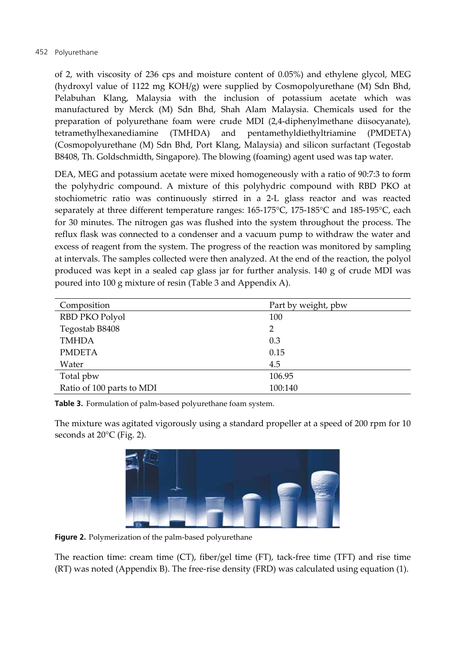#### 452 Polyurethane

of 2, with viscosity of 236 cps and moisture content of 0.05%) and ethylene glycol, MEG (hydroxyl value of 1122 mg KOH/g) were supplied by Cosmopolyurethane (M) Sdn Bhd, Pelabuhan Klang, Malaysia with the inclusion of potassium acetate which was manufactured by Merck (M) Sdn Bhd, Shah Alam Malaysia. Chemicals used for the preparation of polyurethane foam were crude MDI (2,4-diphenylmethane diisocyanate), tetramethylhexanediamine (TMHDA) and pentamethyldiethyltriamine (PMDETA) (Cosmopolyurethane (M) Sdn Bhd, Port Klang, Malaysia) and silicon surfactant (Tegostab B8408, Th. Goldschmidth, Singapore). The blowing (foaming) agent used was tap water.

DEA, MEG and potassium acetate were mixed homogeneously with a ratio of 90:7:3 to form the polyhydric compound. A mixture of this polyhydric compound with RBD PKO at stochiometric ratio was continuously stirred in a 2-L glass reactor and was reacted separately at three different temperature ranges: 165-175°C, 175-185°C and 185-195°C, each for 30 minutes. The nitrogen gas was flushed into the system throughout the process. The reflux flask was connected to a condenser and a vacuum pump to withdraw the water and excess of reagent from the system. The progress of the reaction was monitored by sampling at intervals. The samples collected were then analyzed. At the end of the reaction, the polyol produced was kept in a sealed cap glass jar for further analysis. 140 g of crude MDI was poured into 100 g mixture of resin (Table 3 and Appendix A).

| Composition               | Part by weight, pbw |
|---------------------------|---------------------|
| RBD PKO Polyol            | 100                 |
| Tegostab B8408            | 2                   |
| <b>TMHDA</b>              | 0.3                 |
| <b>PMDETA</b>             | 0.15                |
| Water                     | 4.5                 |
| Total pbw                 | 106.95              |
| Ratio of 100 parts to MDI | 100:140             |

**Table 3.** Formulation of palm-based polyurethane foam system.

The mixture was agitated vigorously using a standard propeller at a speed of 200 rpm for 10 seconds at 20°C (Fig. 2).



**Figure 2.** Polymerization of the palm-based polyurethane

The reaction time: cream time (CT), fiber/gel time (FT), tack-free time (TFT) and rise time (RT) was noted (Appendix B). The free-rise density (FRD) was calculated using equation (1).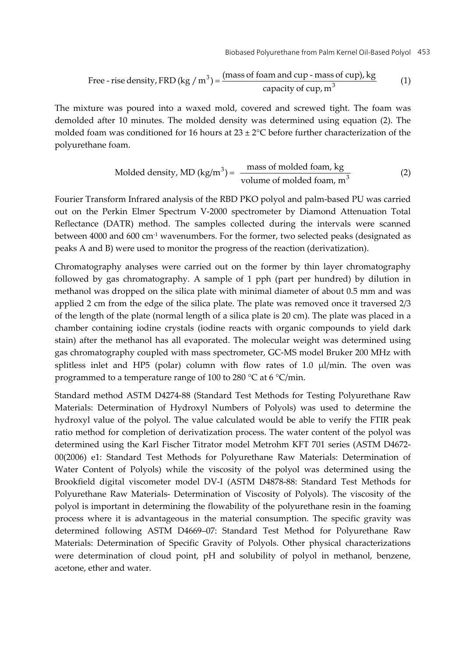Free - rise density, FRD (kg / m<sup>3</sup>) = 
$$
\frac{\text{(mass of foam and cup - mass of cup), kg}}{\text{capacity of cup, m}^3}
$$
 (1)

The mixture was poured into a waxed mold, covered and screwed tight. The foam was demolded after 10 minutes. The molded density was determined using equation (2). The molded foam was conditioned for 16 hours at  $23 \pm 2^{\circ}$ C before further characterization of the polyurethane foam.

Model density, MD (kg/m<sup>3</sup>) = 
$$
\frac{\text{mass of modeled foam, kg}}{\text{volume of modeled foam, m}^3}
$$
 (2)

Fourier Transform Infrared analysis of the RBD PKO polyol and palm-based PU was carried out on the Perkin Elmer Spectrum V-2000 spectrometer by Diamond Attenuation Total Reflectance (DATR) method. The samples collected during the intervals were scanned between 4000 and 600  $cm<sup>-1</sup>$  wavenumbers. For the former, two selected peaks (designated as peaks A and B) were used to monitor the progress of the reaction (derivatization).

Chromatography analyses were carried out on the former by thin layer chromatography followed by gas chromatography. A sample of 1 pph (part per hundred) by dilution in methanol was dropped on the silica plate with minimal diameter of about 0.5 mm and was applied 2 cm from the edge of the silica plate. The plate was removed once it traversed 2/3 of the length of the plate (normal length of a silica plate is 20 cm). The plate was placed in a chamber containing iodine crystals (iodine reacts with organic compounds to yield dark stain) after the methanol has all evaporated. The molecular weight was determined using gas chromatography coupled with mass spectrometer, GC-MS model Bruker 200 MHz with splitless inlet and HP5 (polar) column with flow rates of 1.0 μl/min. The oven was programmed to a temperature range of 100 to 280 °C at 6 °C/min.

Standard method ASTM D4274-88 (Standard Test Methods for Testing Polyurethane Raw Materials: Determination of Hydroxyl Numbers of Polyols) was used to determine the hydroxyl value of the polyol. The value calculated would be able to verify the FTIR peak ratio method for completion of derivatization process. The water content of the polyol was determined using the Karl Fischer Titrator model Metrohm KFT 701 series (ASTM D4672- 00(2006) e1: Standard Test Methods for Polyurethane Raw Materials: Determination of Water Content of Polyols) while the viscosity of the polyol was determined using the Brookfield digital viscometer model DV-I (ASTM D4878-88: Standard Test Methods for Polyurethane Raw Materials- Determination of Viscosity of Polyols). The viscosity of the polyol is important in determining the flowability of the polyurethane resin in the foaming process where it is advantageous in the material consumption. The specific gravity was determined following ASTM D4669–07: Standard Test Method for Polyurethane Raw Materials: Determination of Specific Gravity of Polyols. Other physical characterizations were determination of cloud point, pH and solubility of polyol in methanol, benzene, acetone, ether and water.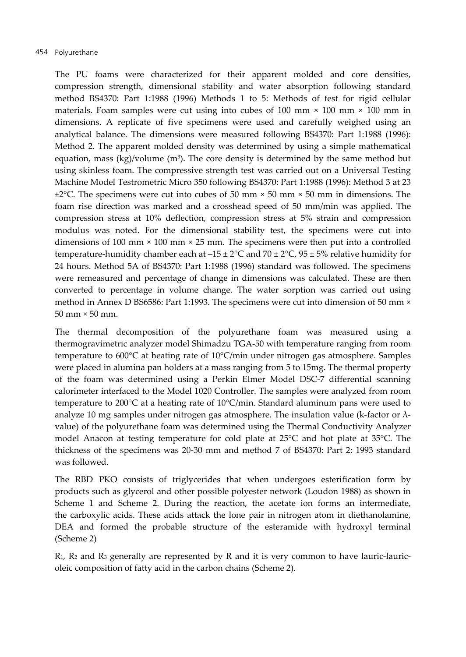The PU foams were characterized for their apparent molded and core densities, compression strength, dimensional stability and water absorption following standard method BS4370: Part 1:1988 (1996) Methods 1 to 5: Methods of test for rigid cellular materials. Foam samples were cut using into cubes of  $100 \text{ mm} \times 100 \text{ mm} \times 100 \text{ mm}$  in dimensions. A replicate of five specimens were used and carefully weighed using an analytical balance. The dimensions were measured following BS4370: Part 1:1988 (1996): Method 2. The apparent molded density was determined by using a simple mathematical equation, mass  $(kg)/volume$  (m<sup>3</sup>). The core density is determined by the same method but using skinless foam. The compressive strength test was carried out on a Universal Testing Machine Model Testrometric Micro 350 following BS4370: Part 1:1988 (1996): Method 3 at 23  $\pm$ 2°C. The specimens were cut into cubes of 50 mm  $\times$  50 mm  $\times$  50 mm in dimensions. The foam rise direction was marked and a crosshead speed of 50 mm/min was applied. The compression stress at 10% deflection, compression stress at 5% strain and compression modulus was noted. For the dimensional stability test, the specimens were cut into dimensions of 100 mm × 100 mm × 25 mm. The specimens were then put into a controlled temperature-humidity chamber each at  $-15 \pm 2$ °C and  $70 \pm 2$ °C, 95  $\pm 5$ % relative humidity for 24 hours. Method 5A of BS4370: Part 1:1988 (1996) standard was followed. The specimens were remeasured and percentage of change in dimensions was calculated. These are then converted to percentage in volume change. The water sorption was carried out using method in Annex D BS6586: Part 1:1993. The specimens were cut into dimension of 50 mm × 50 mm × 50 mm.

The thermal decomposition of the polyurethane foam was measured using a thermogravimetric analyzer model Shimadzu TGA-50 with temperature ranging from room temperature to 600°C at heating rate of 10°C/min under nitrogen gas atmosphere. Samples were placed in alumina pan holders at a mass ranging from 5 to 15mg. The thermal property of the foam was determined using a Perkin Elmer Model DSC-7 differential scanning calorimeter interfaced to the Model 1020 Controller. The samples were analyzed from room temperature to 200°C at a heating rate of 10°C/min. Standard aluminum pans were used to analyze 10 mg samples under nitrogen gas atmosphere. The insulation value (k-factor or  $\lambda$ value) of the polyurethane foam was determined using the Thermal Conductivity Analyzer model Anacon at testing temperature for cold plate at 25°C and hot plate at 35°C. The thickness of the specimens was 20-30 mm and method 7 of BS4370: Part 2: 1993 standard was followed.

The RBD PKO consists of triglycerides that when undergoes esterification form by products such as glycerol and other possible polyester network (Loudon 1988) as shown in Scheme 1 and Scheme 2. During the reaction, the acetate ion forms an intermediate, the carboxylic acids. These acids attack the lone pair in nitrogen atom in diethanolamine, DEA and formed the probable structure of the esteramide with hydroxyl terminal (Scheme 2)

 $R_1$ ,  $R_2$  and  $R_3$  generally are represented by R and it is very common to have lauric-lauricoleic composition of fatty acid in the carbon chains (Scheme 2).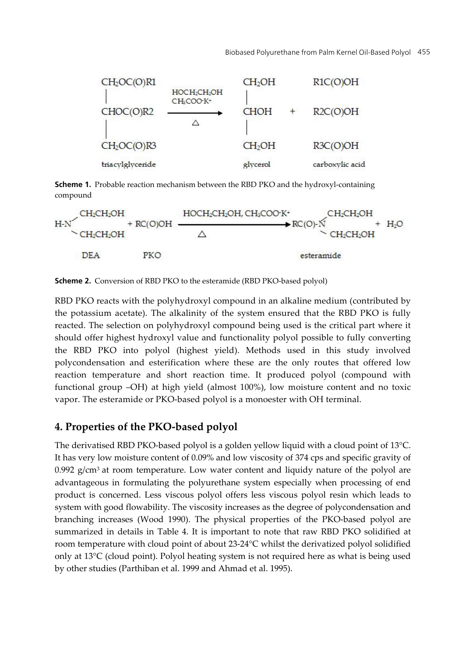

**Scheme 1.** Probable reaction mechanism between the RBD PKO and the hydroxyl-containing compound



**Scheme 2.** Conversion of RBD PKO to the esteramide (RBD PKO-based polyol)

RBD PKO reacts with the polyhydroxyl compound in an alkaline medium (contributed by the potassium acetate). The alkalinity of the system ensured that the RBD PKO is fully reacted. The selection on polyhydroxyl compound being used is the critical part where it should offer highest hydroxyl value and functionality polyol possible to fully converting the RBD PKO into polyol (highest yield). Methods used in this study involved polycondensation and esterification where these are the only routes that offered low reaction temperature and short reaction time. It produced polyol (compound with functional group –OH) at high yield (almost 100%), low moisture content and no toxic vapor. The esteramide or PKO-based polyol is a monoester with OH terminal.

# **4. Properties of the PKO-based polyol**

The derivatised RBD PKO-based polyol is a golden yellow liquid with a cloud point of 13°C. It has very low moisture content of 0.09% and low viscosity of 374 cps and specific gravity of  $0.992$  g/cm<sup>3</sup> at room temperature. Low water content and liquidy nature of the polyol are advantageous in formulating the polyurethane system especially when processing of end product is concerned. Less viscous polyol offers less viscous polyol resin which leads to system with good flowability. The viscosity increases as the degree of polycondensation and branching increases (Wood 1990). The physical properties of the PKO-based polyol are summarized in details in Table 4. It is important to note that raw RBD PKO solidified at room temperature with cloud point of about 23-24°C whilst the derivatized polyol solidified only at 13°C (cloud point). Polyol heating system is not required here as what is being used by other studies (Parthiban et al. 1999 and Ahmad et al. 1995).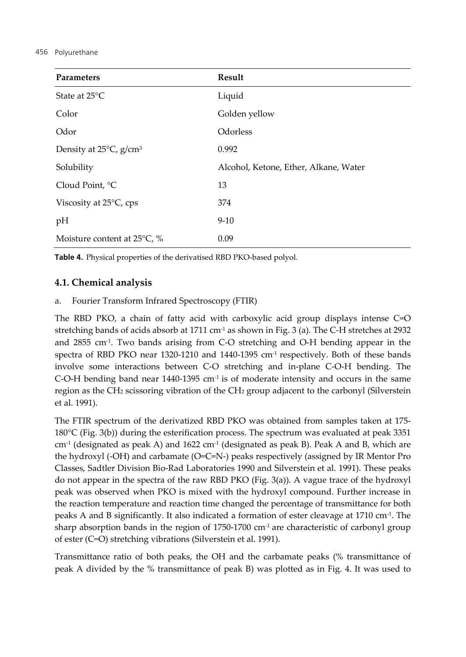#### 456 Polyurethane

| Parameters                            | Result                                |
|---------------------------------------|---------------------------------------|
| State at 25°C                         | Liquid                                |
| Color                                 | Golden yellow                         |
| Odor                                  | Odorless                              |
| Density at 25°C, g/cm <sup>3</sup>    | 0.992                                 |
| Solubility                            | Alcohol, Ketone, Ether, Alkane, Water |
| Cloud Point, °C                       | 13                                    |
| Viscosity at $25^{\circ}$ C, cps      | 374                                   |
| pH                                    | $9-10$                                |
| Moisture content at $25^{\circ}$ C, % | 0.09                                  |

**Table 4.** Physical properties of the derivatised RBD PKO-based polyol.

### **4.1. Chemical analysis**

a. Fourier Transform Infrared Spectroscopy (FTIR)

The RBD PKO, a chain of fatty acid with carboxylic acid group displays intense C=O stretching bands of acids absorb at 1711 cm<sup>-1</sup> as shown in Fig. 3 (a). The C-H stretches at 2932 and  $2855$  cm<sup>-1</sup>. Two bands arising from C-O stretching and O-H bending appear in the spectra of RBD PKO near 1320-1210 and 1440-1395 cm<sup>-1</sup> respectively. Both of these bands involve some interactions between C-O stretching and in-plane C-O-H bending. The C-O-H bending band near  $1440-1395$  cm<sup>-1</sup> is of moderate intensity and occurs in the same region as the CH2 scissoring vibration of the CH2 group adjacent to the carbonyl (Silverstein et al. 1991).

The FTIR spectrum of the derivatized RBD PKO was obtained from samples taken at 175- 180°C (Fig. 3(b)) during the esterification process. The spectrum was evaluated at peak 3351  $cm<sup>-1</sup>$  (designated as peak A) and 1622  $cm<sup>-1</sup>$  (designated as peak B). Peak A and B, which are the hydroxyl (-OH) and carbamate (O=C=N-) peaks respectively (assigned by IR Mentor Pro Classes, Sadtler Division Bio-Rad Laboratories 1990 and Silverstein et al. 1991). These peaks do not appear in the spectra of the raw RBD PKO (Fig. 3(a)). A vague trace of the hydroxyl peak was observed when PKO is mixed with the hydroxyl compound. Further increase in the reaction temperature and reaction time changed the percentage of transmittance for both peaks A and B significantly. It also indicated a formation of ester cleavage at 1710 cm-1. The sharp absorption bands in the region of  $1750-1700$  cm<sup>-1</sup> are characteristic of carbonyl group of ester (C=O) stretching vibrations (Silverstein et al. 1991).

Transmittance ratio of both peaks, the OH and the carbamate peaks (% transmittance of peak A divided by the % transmittance of peak B) was plotted as in Fig. 4. It was used to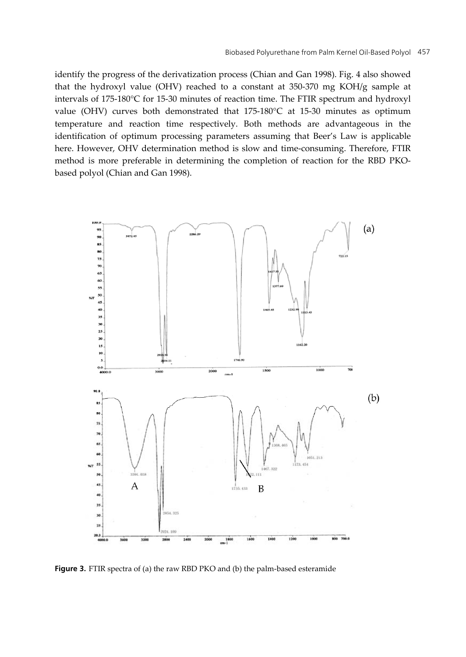identify the progress of the derivatization process (Chian and Gan 1998). Fig. 4 also showed that the hydroxyl value (OHV) reached to a constant at 350-370 mg KOH/g sample at intervals of 175-180°C for 15-30 minutes of reaction time. The FTIR spectrum and hydroxyl value (OHV) curves both demonstrated that 175-180°C at 15-30 minutes as optimum temperature and reaction time respectively. Both methods are advantageous in the identification of optimum processing parameters assuming that Beer's Law is applicable here. However, OHV determination method is slow and time-consuming. Therefore, FTIR method is more preferable in determining the completion of reaction for the RBD PKObased polyol (Chian and Gan 1998).



**Figure 3.** FTIR spectra of (a) the raw RBD PKO and (b) the palm-based esteramide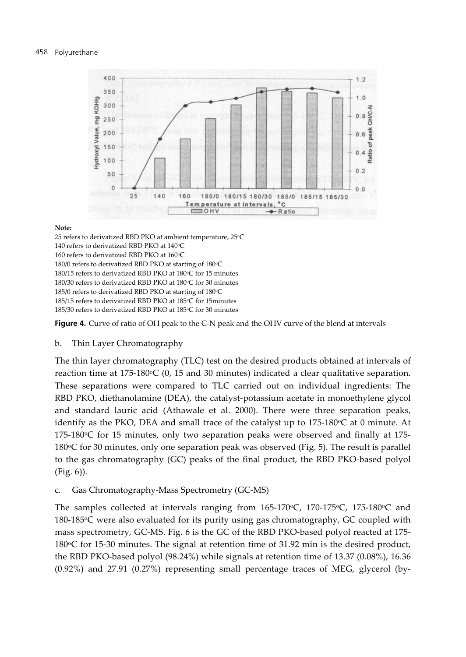

#### **Note:**

25 refers to derivatized RBD PKO at ambient temperature, 25°C 140 refers to derivatized RBD PKO at 140°C 160 refers to derivatized RBD PKO at 160°C 180/0 refers to derivatized RBD PKO at starting of 180°C 180/15 refers to derivatized RBD PKO at 180°C for 15 minutes 180/30 refers to derivatized RBD PKO at 180°C for 30 minutes 185/0 refers to derivatized RBD PKO at starting of 180°C 185/15 refers to derivatized RBD PKO at 185oC for 15minutes 185/30 refers to derivatized RBD PKO at 185°C for 30 minutes

**Figure 4.** Curve of ratio of OH peak to the C-N peak and the OHV curve of the blend at intervals

#### b. Thin Layer Chromatography

The thin layer chromatography (TLC) test on the desired products obtained at intervals of reaction time at  $175-180$ °C (0, 15 and 30 minutes) indicated a clear qualitative separation. These separations were compared to TLC carried out on individual ingredients: The RBD PKO, diethanolamine (DEA), the catalyst-potassium acetate in monoethylene glycol and standard lauric acid (Athawale et al. 2000). There were three separation peaks, identify as the PKO, DEA and small trace of the catalyst up to  $175{\text -}180^{\circ}\text{C}$  at 0 minute. At  $175-180$ <sup>o</sup>C for 15 minutes, only two separation peaks were observed and finally at  $175-$ 180 $\degree$ C for 30 minutes, only one separation peak was observed (Fig. 5). The result is parallel to the gas chromatography (GC) peaks of the final product, the RBD PKO-based polyol (Fig. 6)).

c. Gas Chromatography-Mass Spectrometry (GC-MS)

The samples collected at intervals ranging from  $165-170$ °C,  $170-175$ °C,  $175-180$ °C and 180-185°C were also evaluated for its purity using gas chromatography, GC coupled with mass spectrometry, GC-MS. Fig. 6 is the GC of the RBD PKO-based polyol reacted at 175- 180℃ for 15-30 minutes. The signal at retention time of 31.92 min is the desired product, the RBD PKO-based polyol (98.24%) while signals at retention time of 13.37 (0.08%), 16.36 (0.92%) and 27.91 (0.27%) representing small percentage traces of MEG, glycerol (by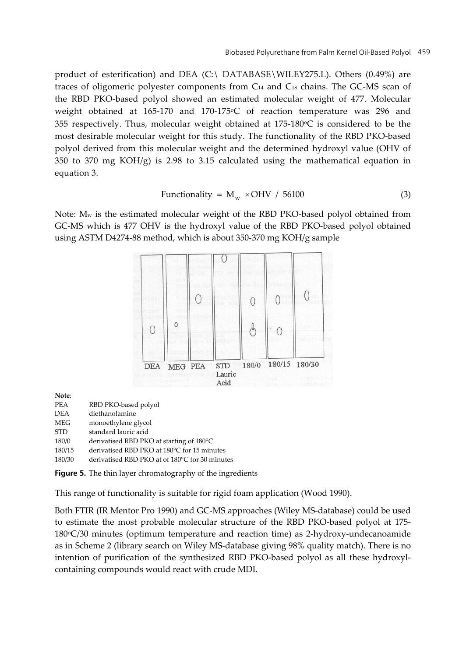product of esterification) and DEA (C:\ DATABASE\WILEY275.L). Others (0.49%) are traces of oligomeric polyester components from C14 and C18 chains. The GC-MS scan of the RBD PKO-based polyol showed an estimated molecular weight of 477. Molecular weight obtained at 165-170 and 170-175°C of reaction temperature was 296 and 355 respectively. Thus, molecular weight obtained at  $175{\text -}180^{\circ}\text{C}$  is considered to be the most desirable molecular weight for this study. The functionality of the RBD PKO-based polyol derived from this molecular weight and the determined hydroxyl value (OHV of 350 to 370 mg  $KOH/g$ ) is 2.98 to 3.15 calculated using the mathematical equation in equation 3.

Functionality = 
$$
M_w \times OHV / 56100
$$
 (3)

Note: Mw is the estimated molecular weight of the RBD PKO-based polyol obtained from GC-MS which is 477 OHV is the hydroxyl value of the RBD PKO-based polyol obtained using ASTM D4274-88 method, which is about 350-370 mg KOH/g sample



**Note**:

| PEA        | RBD PKO-based polyol                           |
|------------|------------------------------------------------|
| <b>DEA</b> | diethanolamine                                 |
| MEG        | monoethylene glycol                            |
| <b>STD</b> | standard lauric acid                           |
| 180/0      | derivatised RBD PKO at starting of 180°C       |
| 180/15     | derivatised RBD PKO at 180°C for 15 minutes    |
| 180/30     | derivatised RBD PKO at of 180°C for 30 minutes |

**Figure 5.** The thin layer chromatography of the ingredients

This range of functionality is suitable for rigid foam application (Wood 1990).

Both FTIR (IR Mentor Pro 1990) and GC-MS approaches (Wiley MS-database) could be used to estimate the most probable molecular structure of the RBD PKO-based polyol at 175-  $180\degree$ C/30 minutes (optimum temperature and reaction time) as 2-hydroxy-undecanoamide as in Scheme 2 (library search on Wiley MS-database giving 98% quality match). There is no intention of purification of the synthesized RBD PKO-based polyol as all these hydroxylcontaining compounds would react with crude MDI.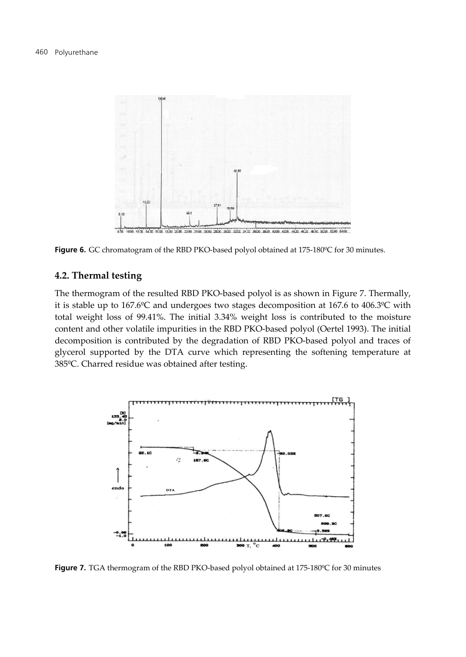

**Figure 6.** GC chromatogram of the RBD PKO-based polyol obtained at 175-180ºC for 30 minutes.

#### **4.2. Thermal testing**

The thermogram of the resulted RBD PKO-based polyol is as shown in Figure 7. Thermally, it is stable up to 167.6ºC and undergoes two stages decomposition at 167.6 to 406.3ºC with total weight loss of 99.41%. The initial 3.34% weight loss is contributed to the moisture content and other volatile impurities in the RBD PKO-based polyol (Oertel 1993). The initial decomposition is contributed by the degradation of RBD PKO-based polyol and traces of glycerol supported by the DTA curve which representing the softening temperature at 385ºC. Charred residue was obtained after testing.



**Figure 7.** TGA thermogram of the RBD PKO-based polyol obtained at 175-180ºC for 30 minutes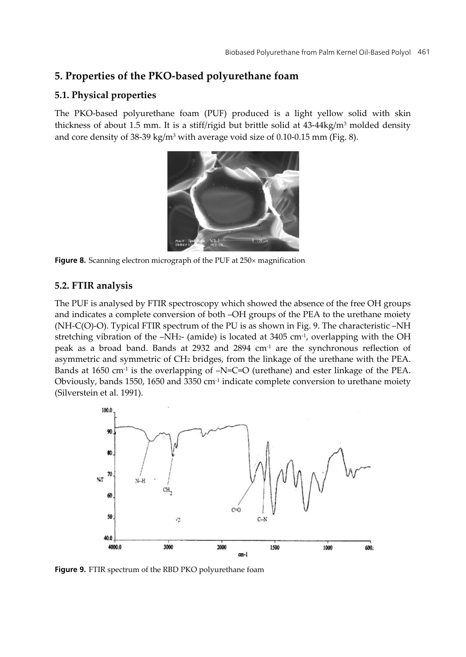# **5. Properties of the PKO-based polyurethane foam**

### **5.1. Physical properties**

The PKO-based polyurethane foam (PUF) produced is a light yellow solid with skin thickness of about 1.5 mm. It is a stiff/rigid but brittle solid at  $43-44\text{kg/m}^3$  molded density and core density of 38-39 kg/m<sup>3</sup> with average void size of 0.10-0.15 mm (Fig. 8).



Figure 8. Scanning electron micrograph of the PUF at 250x magnification

## **5.2. FTIR analysis**

The PUF is analysed by FTIR spectroscopy which showed the absence of the free OH groups and indicates a complete conversion of both –OH groups of the PEA to the urethane moiety (NH-C(O)-O). Typical FTIR spectrum of the PU is as shown in Fig. 9. The characteristic –NH stretching vibration of the  $-NH<sub>2</sub>$  (amide) is located at 3405 cm<sup>-1</sup>, overlapping with the OH peak as a broad band. Bands at 2932 and  $2894 \text{ cm}^{-1}$  are the synchronous reflection of asymmetric and symmetric of CH2 bridges, from the linkage of the urethane with the PEA. Bands at 1650  $cm<sup>-1</sup>$  is the overlapping of  $-N=C=O$  (urethane) and ester linkage of the PEA. Obviously, bands 1550, 1650 and 3350 cm-1 indicate complete conversion to urethane moiety (Silverstein et al. 1991).



**Figure 9.** FTIR spectrum of the RBD PKO polyurethane foam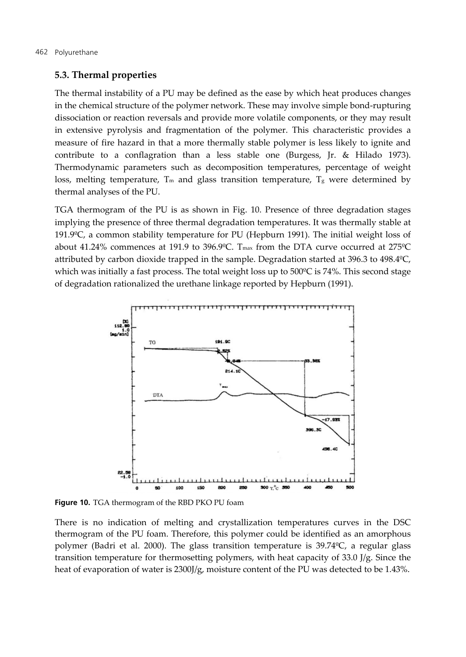#### **5.3. Thermal properties**

The thermal instability of a PU may be defined as the ease by which heat produces changes in the chemical structure of the polymer network. These may involve simple bond-rupturing dissociation or reaction reversals and provide more volatile components, or they may result in extensive pyrolysis and fragmentation of the polymer. This characteristic provides a measure of fire hazard in that a more thermally stable polymer is less likely to ignite and contribute to a conflagration than a less stable one (Burgess, Jr. & Hilado 1973). Thermodynamic parameters such as decomposition temperatures, percentage of weight loss, melting temperature,  $T_m$  and glass transition temperature,  $T_g$  were determined by thermal analyses of the PU.

TGA thermogram of the PU is as shown in Fig. 10. Presence of three degradation stages implying the presence of three thermal degradation temperatures. It was thermally stable at 191.9ºC, a common stability temperature for PU (Hepburn 1991). The initial weight loss of about 41.24% commences at 191.9 to 396.9ºC. Tmax from the DTA curve occurred at 275ºC attributed by carbon dioxide trapped in the sample. Degradation started at 396.3 to 498.4ºC, which was initially a fast process. The total weight loss up to 500°C is 74%. This second stage of degradation rationalized the urethane linkage reported by Hepburn (1991).



**Figure 10.** TGA thermogram of the RBD PKO PU foam

There is no indication of melting and crystallization temperatures curves in the DSC thermogram of the PU foam. Therefore, this polymer could be identified as an amorphous polymer (Badri et al. 2000). The glass transition temperature is 39.74ºC, a regular glass transition temperature for thermosetting polymers, with heat capacity of 33.0 J/g. Since the heat of evaporation of water is 2300J/g, moisture content of the PU was detected to be 1.43%.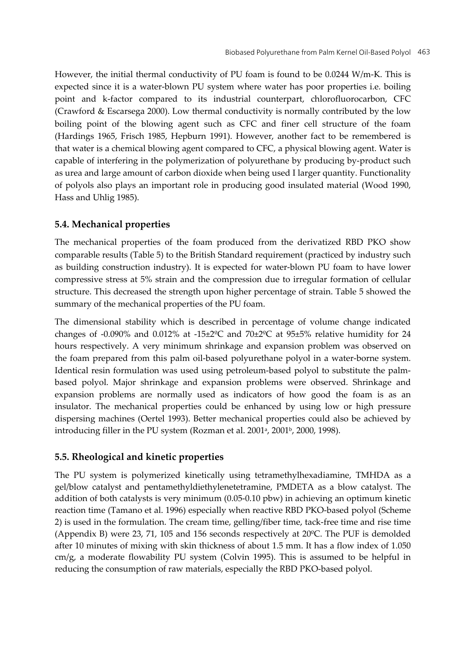However, the initial thermal conductivity of PU foam is found to be 0.0244 W/m-K. This is expected since it is a water-blown PU system where water has poor properties i.e. boiling point and k-factor compared to its industrial counterpart, chlorofluorocarbon, CFC (Crawford & Escarsega 2000). Low thermal conductivity is normally contributed by the low boiling point of the blowing agent such as CFC and finer cell structure of the foam (Hardings 1965, Frisch 1985, Hepburn 1991). However, another fact to be remembered is that water is a chemical blowing agent compared to CFC, a physical blowing agent. Water is capable of interfering in the polymerization of polyurethane by producing by-product such as urea and large amount of carbon dioxide when being used I larger quantity. Functionality of polyols also plays an important role in producing good insulated material (Wood 1990, Hass and Uhlig 1985).

### **5.4. Mechanical properties**

The mechanical properties of the foam produced from the derivatized RBD PKO show comparable results (Table 5) to the British Standard requirement (practiced by industry such as building construction industry). It is expected for water-blown PU foam to have lower compressive stress at 5% strain and the compression due to irregular formation of cellular structure. This decreased the strength upon higher percentage of strain. Table 5 showed the summary of the mechanical properties of the PU foam.

The dimensional stability which is described in percentage of volume change indicated changes of -0.090% and 0.012% at -15±2 °C and 70±2 °C at 95±5% relative humidity for 24 hours respectively. A very minimum shrinkage and expansion problem was observed on the foam prepared from this palm oil-based polyurethane polyol in a water-borne system. Identical resin formulation was used using petroleum-based polyol to substitute the palmbased polyol. Major shrinkage and expansion problems were observed. Shrinkage and expansion problems are normally used as indicators of how good the foam is as an insulator. The mechanical properties could be enhanced by using low or high pressure dispersing machines (Oertel 1993). Better mechanical properties could also be achieved by introducing filler in the PU system (Rozman et al. 2001<sup>a</sup>, 2001<sup>b</sup>, 2000, 1998).

### **5.5. Rheological and kinetic properties**

The PU system is polymerized kinetically using tetramethylhexadiamine, TMHDA as a gel/blow catalyst and pentamethyldiethylenetetramine, PMDETA as a blow catalyst. The addition of both catalysts is very minimum (0.05-0.10 pbw) in achieving an optimum kinetic reaction time (Tamano et al. 1996) especially when reactive RBD PKO-based polyol (Scheme 2) is used in the formulation. The cream time, gelling/fiber time, tack-free time and rise time (Appendix B) were 23, 71, 105 and 156 seconds respectively at 20ºC. The PUF is demolded after 10 minutes of mixing with skin thickness of about 1.5 mm. It has a flow index of 1.050 cm/g, a moderate flowability PU system (Colvin 1995). This is assumed to be helpful in reducing the consumption of raw materials, especially the RBD PKO-based polyol.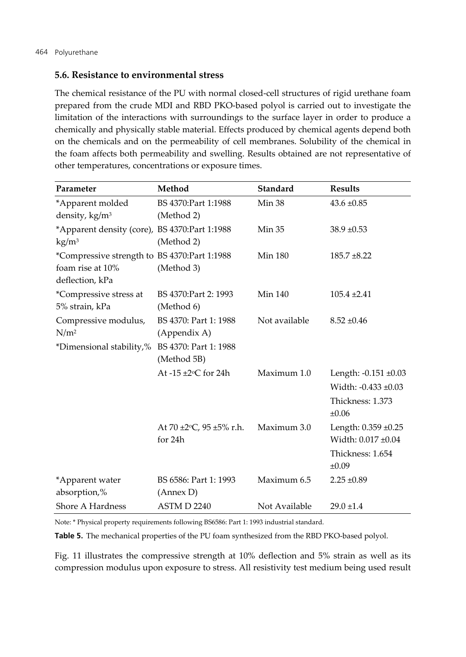#### **5.6. Resistance to environmental stress**

The chemical resistance of the PU with normal closed-cell structures of rigid urethane foam prepared from the crude MDI and RBD PKO-based polyol is carried out to investigate the limitation of the interactions with surroundings to the surface layer in order to produce a chemically and physically stable material. Effects produced by chemical agents depend both on the chemicals and on the permeability of cell membranes. Solubility of the chemical in the foam affects both permeability and swelling. Results obtained are not representative of other temperatures, concentrations or exposure times.

| Parameter                                     | Method                              | <b>Standard</b> | <b>Results</b>       |
|-----------------------------------------------|-------------------------------------|-----------------|----------------------|
| *Apparent molded                              | BS 4370:Part 1:1988                 | Min 38          | $43.6 \pm 0.85$      |
| density, kg/m <sup>3</sup>                    | (Method 2)                          |                 |                      |
| *Apparent density (core), BS 4370:Part 1:1988 |                                     | <b>Min 35</b>   | $38.9 \pm 0.53$      |
| $\text{kg/m}^3$                               | (Method 2)                          |                 |                      |
| *Compressive strength to BS 4370:Part 1:1988  |                                     | <b>Min 180</b>  | $185.7 \pm 8.22$     |
| foam rise at 10%                              | (Method 3)                          |                 |                      |
| deflection, kPa                               |                                     |                 |                      |
| *Compressive stress at<br>5% strain, kPa      | BS 4370: Part 2: 1993<br>(Method 6) | <b>Min 140</b>  | $105.4 \pm 2.41$     |
|                                               | BS 4370: Part 1: 1988               | Not available   | $8.52 \pm 0.46$      |
| Compressive modulus,<br>N/m <sup>2</sup>      | (Appendix A)                        |                 |                      |
| *Dimensional stability,%                      | BS 4370: Part 1: 1988               |                 |                      |
|                                               | (Method 5B)                         |                 |                      |
|                                               | At $-15 \pm 2$ °C for 24h           | Maximum 1.0     | Length: -0.151 ±0.03 |
|                                               |                                     |                 | Width: -0.433 ±0.03  |
|                                               |                                     |                 | Thickness: 1.373     |
|                                               |                                     |                 | $\pm 0.06$           |
|                                               | At 70 $\pm 2$ °C, 95 $\pm 5\%$ r.h. | Maximum 3.0     | Length: 0.359 ±0.25  |
|                                               | for 24h                             |                 | Width: 0.017 ±0.04   |
|                                               |                                     |                 | Thickness: 1.654     |
|                                               |                                     |                 | $\pm 0.09$           |
| *Apparent water                               | BS 6586: Part 1: 1993               | Maximum 6.5     | $2.25 \pm 0.89$      |
| absorption,%                                  | (Annex D)                           |                 |                      |
| Shore A Hardness                              | ASTM D 2240                         | Not Available   | $29.0 \pm 1.4$       |

Note: \* Physical property requirements following BS6586: Part 1: 1993 industrial standard.

**Table 5.** The mechanical properties of the PU foam synthesized from the RBD PKO-based polyol.

Fig. 11 illustrates the compressive strength at 10% deflection and 5% strain as well as its compression modulus upon exposure to stress. All resistivity test medium being used result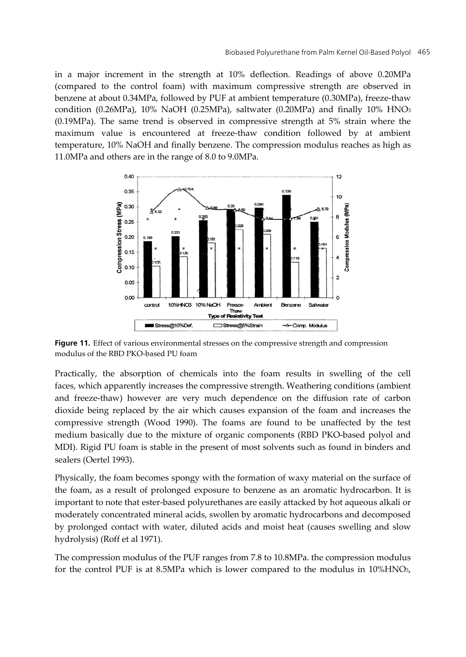in a major increment in the strength at 10% deflection. Readings of above 0.20MPa (compared to the control foam) with maximum compressive strength are observed in benzene at about 0.34MPa, followed by PUF at ambient temperature (0.30MPa), freeze-thaw condition (0.26MPa), 10% NaOH (0.25MPa), saltwater (0.20MPa) and finally 10% HNO3 (0.19MPa). The same trend is observed in compressive strength at 5% strain where the maximum value is encountered at freeze-thaw condition followed by at ambient temperature, 10% NaOH and finally benzene. The compression modulus reaches as high as 11.0MPa and others are in the range of 8.0 to 9.0MPa.



**Figure 11.** Effect of various environmental stresses on the compressive strength and compression modulus of the RBD PKO-based PU foam

Practically, the absorption of chemicals into the foam results in swelling of the cell faces, which apparently increases the compressive strength. Weathering conditions (ambient and freeze-thaw) however are very much dependence on the diffusion rate of carbon dioxide being replaced by the air which causes expansion of the foam and increases the compressive strength (Wood 1990). The foams are found to be unaffected by the test medium basically due to the mixture of organic components (RBD PKO-based polyol and MDI). Rigid PU foam is stable in the present of most solvents such as found in binders and sealers (Oertel 1993).

Physically, the foam becomes spongy with the formation of waxy material on the surface of the foam, as a result of prolonged exposure to benzene as an aromatic hydrocarbon. It is important to note that ester-based polyurethanes are easily attacked by hot aqueous alkali or moderately concentrated mineral acids, swollen by aromatic hydrocarbons and decomposed by prolonged contact with water, diluted acids and moist heat (causes swelling and slow hydrolysis) (Roff et al 1971).

The compression modulus of the PUF ranges from 7.8 to 10.8MPa. the compression modulus for the control PUF is at 8.5MPa which is lower compared to the modulus in 10%HNO3,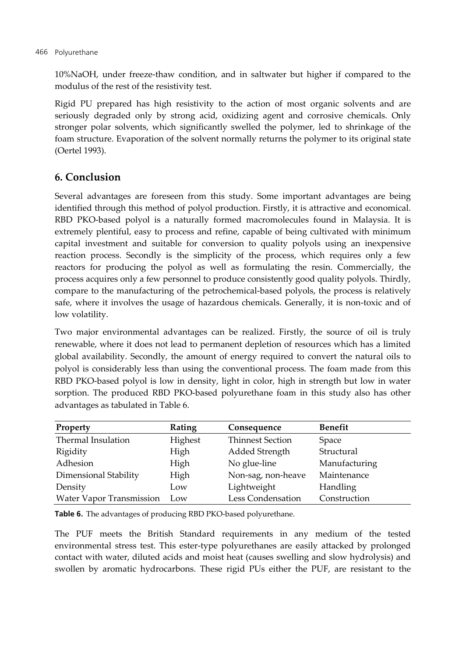10%NaOH, under freeze-thaw condition, and in saltwater but higher if compared to the modulus of the rest of the resistivity test.

Rigid PU prepared has high resistivity to the action of most organic solvents and are seriously degraded only by strong acid, oxidizing agent and corrosive chemicals. Only stronger polar solvents, which significantly swelled the polymer, led to shrinkage of the foam structure. Evaporation of the solvent normally returns the polymer to its original state (Oertel 1993).

# **6. Conclusion**

Several advantages are foreseen from this study. Some important advantages are being identified through this method of polyol production. Firstly, it is attractive and economical. RBD PKO-based polyol is a naturally formed macromolecules found in Malaysia. It is extremely plentiful, easy to process and refine, capable of being cultivated with minimum capital investment and suitable for conversion to quality polyols using an inexpensive reaction process. Secondly is the simplicity of the process, which requires only a few reactors for producing the polyol as well as formulating the resin. Commercially, the process acquires only a few personnel to produce consistently good quality polyols. Thirdly, compare to the manufacturing of the petrochemical-based polyols, the process is relatively safe, where it involves the usage of hazardous chemicals. Generally, it is non-toxic and of low volatility.

Two major environmental advantages can be realized. Firstly, the source of oil is truly renewable, where it does not lead to permanent depletion of resources which has a limited global availability. Secondly, the amount of energy required to convert the natural oils to polyol is considerably less than using the conventional process. The foam made from this RBD PKO-based polyol is low in density, light in color, high in strength but low in water sorption. The produced RBD PKO-based polyurethane foam in this study also has other advantages as tabulated in Table 6.

| Property                 | Rating  | Consequence             | <b>Benefit</b> |
|--------------------------|---------|-------------------------|----------------|
| Thermal Insulation       | Highest | <b>Thinnest Section</b> | Space          |
| Rigidity                 | High    | Added Strength          | Structural     |
| Adhesion                 | High    | No glue-line            | Manufacturing  |
| Dimensional Stability    | High    | Non-sag, non-heave      | Maintenance    |
| Density                  | Low     | Lightweight             | Handling       |
| Water Vapor Transmission | Low     | Less Condensation       | Construction   |

**Table 6.** The advantages of producing RBD PKO-based polyurethane.

The PUF meets the British Standard requirements in any medium of the tested environmental stress test. This ester-type polyurethanes are easily attacked by prolonged contact with water, diluted acids and moist heat (causes swelling and slow hydrolysis) and swollen by aromatic hydrocarbons. These rigid PUs either the PUF, are resistant to the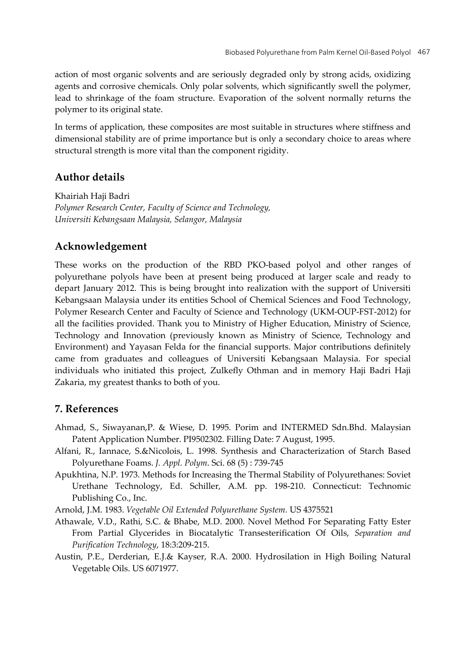action of most organic solvents and are seriously degraded only by strong acids, oxidizing agents and corrosive chemicals. Only polar solvents, which significantly swell the polymer, lead to shrinkage of the foam structure. Evaporation of the solvent normally returns the polymer to its original state.

In terms of application, these composites are most suitable in structures where stiffness and dimensional stability are of prime importance but is only a secondary choice to areas where structural strength is more vital than the component rigidity.

# **Author details**

Khairiah Haji Badri *Polymer Research Center, Faculty of Science and Technology, Universiti Kebangsaan Malaysia, Selangor, Malaysia* 

# **Acknowledgement**

These works on the production of the RBD PKO-based polyol and other ranges of polyurethane polyols have been at present being produced at larger scale and ready to depart January 2012. This is being brought into realization with the support of Universiti Kebangsaan Malaysia under its entities School of Chemical Sciences and Food Technology, Polymer Research Center and Faculty of Science and Technology (UKM-OUP-FST-2012) for all the facilities provided. Thank you to Ministry of Higher Education, Ministry of Science, Technology and Innovation (previously known as Ministry of Science, Technology and Environment) and Yayasan Felda for the financial supports. Major contributions definitely came from graduates and colleagues of Universiti Kebangsaan Malaysia. For special individuals who initiated this project, Zulkefly Othman and in memory Haji Badri Haji Zakaria, my greatest thanks to both of you.

# **7. References**

- Ahmad, S., Siwayanan,P. & Wiese, D. 1995. Porim and INTERMED Sdn.Bhd. Malaysian Patent Application Number. PI9502302. Filling Date: 7 August, 1995.
- Alfani, R., Iannace, S.&Nicolois, L. 1998. Synthesis and Characterization of Starch Based Polyurethane Foams. *J. Appl. Polym*. Sci. 68 (5) : 739-745
- Apukhtina, N.P. 1973. Methods for Increasing the Thermal Stability of Polyurethanes: Soviet Urethane Technology, Ed. Schiller, A.M. pp. 198-210. Connecticut: Technomic Publishing Co., Inc.

Arnold, J.M. 1983. *Vegetable Oil Extended Polyurethane System.* US 4375521

- Athawale, V.D., Rathi, S.C. & Bhabe, M.D. 2000. Novel Method For Separating Fatty Ester From Partial Glycerides in Biocatalytic Transesterification Of Oils, *Separation and Purification Technology*, 18:3:209-215.
- Austin, P.E., Derderian, E.J.& Kayser, R.A. 2000. Hydrosilation in High Boiling Natural Vegetable Oils. US 6071977.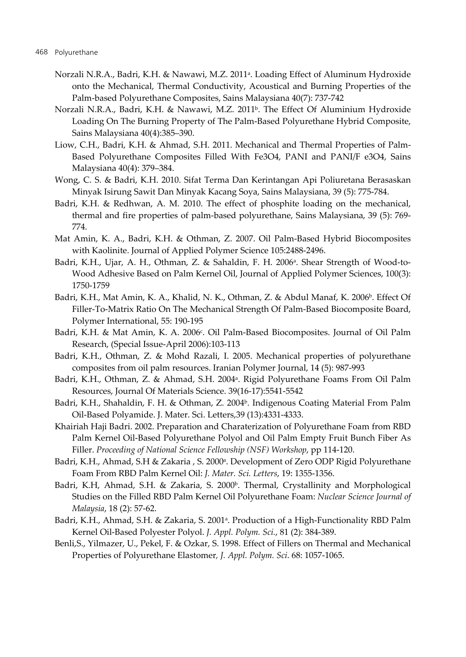- Norzali N.R.A., Badri, K.H. & Nawawi, M.Z. 2011a. Loading Effect of Aluminum Hydroxide onto the Mechanical, Thermal Conductivity, Acoustical and Burning Properties of the Palm-based Polyurethane Composites, Sains Malaysiana 40(7): 737-742
- Norzali N.R.A., Badri, K.H. & Nawawi, M.Z. 2011<sup>b</sup>. The Effect Of Aluminium Hydroxide Loading On The Burning Property of The Palm-Based Polyurethane Hybrid Composite, Sains Malaysiana 40(4):385–390.
- Liow, C.H., Badri, K.H. & Ahmad, S.H. 2011. Mechanical and Thermal Properties of Palm-Based Polyurethane Composites Filled With Fe3O4, PANI and PANI/F e3O4, Sains Malaysiana 40(4): 379–384.
- Wong, C. S. & Badri, K.H. 2010. Sifat Terma Dan Kerintangan Api Poliuretana Berasaskan Minyak Isirung Sawit Dan Minyak Kacang Soya, Sains Malaysiana, 39 (5): 775-784.
- Badri, K.H. & Redhwan, A. M. 2010. The effect of phosphite loading on the mechanical, thermal and fire properties of palm-based polyurethane, Sains Malaysiana, 39 (5): 769- 774.
- Mat Amin, K. A., Badri, K.H. & Othman, Z. 2007. Oil Palm-Based Hybrid Biocomposites with Kaolinite. Journal of Applied Polymer Science 105:2488-2496.
- Badri, K.H., Ujar, A. H., Othman, Z. & Sahaldin, F. H. 2006<sup>a</sup>. Shear Strength of Wood-to-Wood Adhesive Based on Palm Kernel Oil, Journal of Applied Polymer Sciences, 100(3): 1750-1759
- Badri, K.H., Mat Amin, K. A., Khalid, N. K., Othman, Z. & Abdul Manaf, K. 2006<sup>b</sup>. Effect Of Filler-To-Matrix Ratio On The Mechanical Strength Of Palm-Based Biocomposite Board, Polymer International, 55: 190-195
- Badri, K.H. & Mat Amin, K. A. 2006<sup>c</sup>. Oil Palm-Based Biocomposites. Journal of Oil Palm Research, (Special Issue-April 2006):103-113
- Badri, K.H., Othman, Z. & Mohd Razali, I. 2005. Mechanical properties of polyurethane composites from oil palm resources. Iranian Polymer Journal, 14 (5): 987-993
- Badri, K.H., Othman, Z. & Ahmad, S.H. 2004<sup>a</sup>. Rigid Polyurethane Foams From Oil Palm Resources, Journal Of Materials Science. 39(16-17):5541-5542
- Badri, K.H., Shahaldin, F. H. & Othman, Z. 2004<sup>b</sup>. Indigenous Coating Material From Palm Oil-Based Polyamide. J. Mater. Sci. Letters,39 (13):4331-4333.
- Khairiah Haji Badri. 2002. Preparation and Charaterization of Polyurethane Foam from RBD Palm Kernel Oil-Based Polyurethane Polyol and Oil Palm Empty Fruit Bunch Fiber As Filler. *Proceeding of National Science Fellowship (NSF) Workshop*, pp 114-120.
- Badri, K.H., Ahmad, S.H & Zakaria, S. 2000<sup>a</sup>. Development of Zero ODP Rigid Polyurethane Foam From RBD Palm Kernel Oil: *J. Mater. Sci. Letters*, 19: 1355-1356.
- Badri, K.H, Ahmad, S.H. & Zakaria, S. 2000<sup>b</sup>. Thermal, Crystallinity and Morphological Studies on the Filled RBD Palm Kernel Oil Polyurethane Foam: *Nuclear Science Journal of Malaysia*, 18 (2): 57-62.
- Badri, K.H., Ahmad, S.H. & Zakaria, S. 2001<sup>a</sup>. Production of a High-Functionality RBD Palm Kernel Oil-Based Polyester Polyol. *J. Appl. Polym. Sci.*, 81 (2): 384-389.
- Benli,S., Yilmazer, U., Pekel, F. & Ozkar, S. 1998. Effect of Fillers on Thermal and Mechanical Properties of Polyurethane Elastomer*, J. Appl. Polym. Sci*. 68: 1057-1065.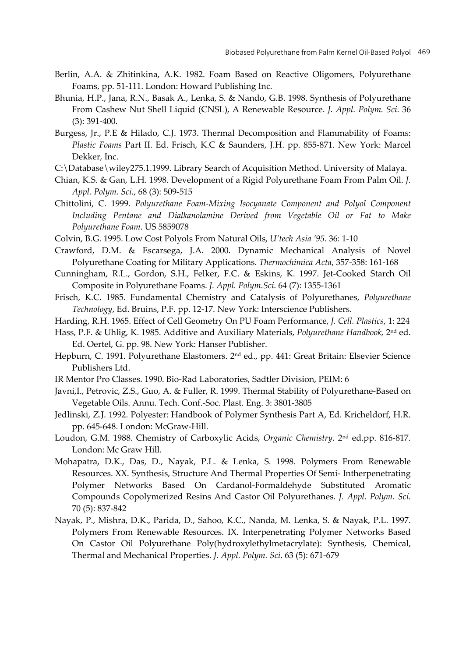- Berlin, A.A. & Zhitinkina, A.K. 1982. Foam Based on Reactive Oligomers, Polyurethane Foams, pp. 51-111. London: Howard Publishing Inc.
- Bhunia, H.P., Jana, R.N., Basak A., Lenka, S. & Nando, G.B. 1998. Synthesis of Polyurethane From Cashew Nut Shell Liquid (CNSL), A Renewable Resource. *J. Appl. Polym. Sci*. 36 (3): 391-400.
- Burgess, Jr., P.E & Hilado, C.J. 1973. Thermal Decomposition and Flammability of Foams: *Plastic Foams* Part II. Ed. Frisch, K.C & Saunders, J.H. pp. 855-871. New York: Marcel Dekker, Inc.
- C:\Database\wiley275.1.1999. Library Search of Acquisition Method. University of Malaya.
- Chian, K.S. & Gan, L.H. 1998. Development of a Rigid Polyurethane Foam From Palm Oil. *J. Appl. Polym. Sci.*, 68 (3): 509-515
- Chittolini, C. 1999. *Polyurethane Foam-Mixing Isocyanate Component and Polyol Component Including Pentane and Dialkanolamine Derived from Vegetable Oil or Fat to Make Polyurethane Foam*. US 5859078
- Colvin, B.G. 1995. Low Cost Polyols From Natural Oils, *U'tech Asia '95*. 36: 1-10
- Crawford, D.M. & Escarsega, J.A. 2000. Dynamic Mechanical Analysis of Novel Polyurethane Coating for Military Applications. *Thermochimica Acta*, 357-358: 161-168
- Cunningham, R.L., Gordon, S.H., Felker, F.C. & Eskins, K. 1997. Jet-Cooked Starch Oil Composite in Polyurethane Foams. *J. Appl. Polym.Sci*. 64 (7): 1355-1361
- Frisch, K.C. 1985. Fundamental Chemistry and Catalysis of Polyurethanes, *Polyurethane Technology*, Ed. Bruins, P.F. pp. 12-17. New York: Interscience Publishers.
- Harding, R.H. 1965. Effect of Cell Geometry On PU Foam Performance, *J. Cell. Plastics*, 1: 224
- Hass, P.F. & Uhlig, K. 1985. Additive and Auxiliary Materials, *Polyurethane Handbook,* 2nd ed. Ed. Oertel, G. pp. 98. New York: Hanser Publisher.
- Hepburn, C. 1991. Polyurethane Elastomers. 2<sup>nd</sup> ed., pp. 441: Great Britain: Elsevier Science Publishers Ltd.
- IR Mentor Pro Classes. 1990. Bio-Rad Laboratories, Sadtler Division, PEIM: 6
- Javni,I., Petrovic, Z.S., Guo, A. & Fuller, R. 1999. Thermal Stability of Polyurethane-Based on Vegetable Oils. Annu. Tech. Conf.-Soc. Plast. Eng. 3: 3801-3805
- Jedlinski, Z.J. 1992. Polyester: Handbook of Polymer Synthesis Part A, Ed. Kricheldorf, H.R. pp. 645-648. London: McGraw-Hill.
- Loudon, G.M. 1988. Chemistry of Carboxylic Acids, *Organic Chemistry.* 2nd ed.pp. 816-817. London: Mc Graw Hill.
- Mohapatra, D.K., Das, D., Nayak, P.L. & Lenka, S. 1998. Polymers From Renewable Resources. XX. Synthesis, Structure And Thermal Properties Of Semi- Intherpenetrating Polymer Networks Based On Cardanol-Formaldehyde Substituted Aromatic Compounds Copolymerized Resins And Castor Oil Polyurethanes. *J. Appl. Polym. Sci.* 70 (5): 837-842
- Nayak, P., Mishra, D.K., Parida, D., Sahoo, K.C., Nanda, M. Lenka, S. & Nayak, P.L. 1997. Polymers From Renewable Resources. IX. Interpenetrating Polymer Networks Based On Castor Oil Polyurethane Poly(hydroxylethylmetacrylate): Synthesis, Chemical, Thermal and Mechanical Properties. *J. Appl. Polym. Sci*. 63 (5): 671-679